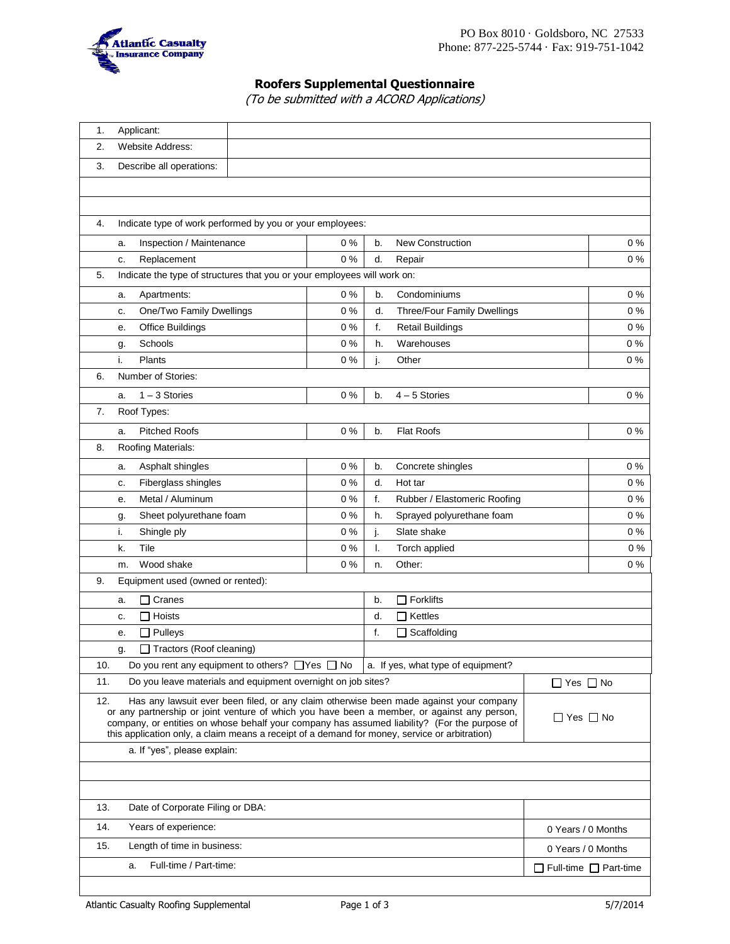

# **Roofers Supplemental Questionnaire**

(To be submitted with a ACORD Applications)

| 1.  | Applicant:                                                                                                                                                                                                                                                                                                                                                                             |                      |                    |                                    |                        |                       |  |  |  |
|-----|----------------------------------------------------------------------------------------------------------------------------------------------------------------------------------------------------------------------------------------------------------------------------------------------------------------------------------------------------------------------------------------|----------------------|--------------------|------------------------------------|------------------------|-----------------------|--|--|--|
| 2.  | <b>Website Address:</b>                                                                                                                                                                                                                                                                                                                                                                |                      |                    |                                    |                        |                       |  |  |  |
| 3.  | Describe all operations:                                                                                                                                                                                                                                                                                                                                                               |                      |                    |                                    |                        |                       |  |  |  |
|     |                                                                                                                                                                                                                                                                                                                                                                                        |                      |                    |                                    |                        |                       |  |  |  |
|     |                                                                                                                                                                                                                                                                                                                                                                                        |                      |                    |                                    |                        |                       |  |  |  |
| 4.  |                                                                                                                                                                                                                                                                                                                                                                                        |                      |                    |                                    |                        |                       |  |  |  |
|     | Indicate type of work performed by you or your employees:                                                                                                                                                                                                                                                                                                                              |                      |                    |                                    |                        |                       |  |  |  |
|     | Inspection / Maintenance<br>a.                                                                                                                                                                                                                                                                                                                                                         | 0%                   | b.                 | <b>New Construction</b>            |                        | $0\%$                 |  |  |  |
|     | Replacement<br>c.                                                                                                                                                                                                                                                                                                                                                                      | 0%                   | d.                 | Repair                             |                        | $0\%$                 |  |  |  |
| 5.  | Indicate the type of structures that you or your employees will work on:                                                                                                                                                                                                                                                                                                               |                      |                    |                                    |                        |                       |  |  |  |
|     | Apartments:<br>a.                                                                                                                                                                                                                                                                                                                                                                      | 0%                   | b.                 | Condominiums                       |                        | $0\%$                 |  |  |  |
|     | One/Two Family Dwellings<br>c.                                                                                                                                                                                                                                                                                                                                                         | 0%                   | d.                 | Three/Four Family Dwellings        |                        | $0\%$                 |  |  |  |
|     | <b>Office Buildings</b><br>е.                                                                                                                                                                                                                                                                                                                                                          | 0%                   | f.                 | <b>Retail Buildings</b>            |                        | 0%                    |  |  |  |
|     | Schools<br>g.                                                                                                                                                                                                                                                                                                                                                                          | 0%                   | h.                 | Warehouses                         |                        | 0%                    |  |  |  |
|     | i.<br>Plants                                                                                                                                                                                                                                                                                                                                                                           | 0%                   | j.                 | Other                              |                        | $0\%$                 |  |  |  |
| 6.  | Number of Stories:                                                                                                                                                                                                                                                                                                                                                                     |                      |                    |                                    |                        |                       |  |  |  |
|     | $1 - 3$ Stories<br>a.                                                                                                                                                                                                                                                                                                                                                                  | 0%                   | b.                 | $4 - 5$ Stories                    |                        | 0%                    |  |  |  |
| 7.  | Roof Types:                                                                                                                                                                                                                                                                                                                                                                            |                      |                    |                                    |                        |                       |  |  |  |
|     | <b>Pitched Roofs</b><br>a.                                                                                                                                                                                                                                                                                                                                                             | 0%                   | b.                 | <b>Flat Roofs</b>                  |                        | $0\%$                 |  |  |  |
| 8.  | Roofing Materials:                                                                                                                                                                                                                                                                                                                                                                     |                      |                    |                                    |                        |                       |  |  |  |
|     | Asphalt shingles<br>a.                                                                                                                                                                                                                                                                                                                                                                 | 0%                   | b.                 | Concrete shingles                  |                        | $0\%$                 |  |  |  |
|     | Fiberglass shingles<br>c.                                                                                                                                                                                                                                                                                                                                                              | 0%                   | d.                 | Hot tar                            |                        | $0\%$                 |  |  |  |
|     | Metal / Aluminum<br>е.                                                                                                                                                                                                                                                                                                                                                                 | 0%                   | f.                 | Rubber / Elastomeric Roofing       |                        | 0%                    |  |  |  |
|     | Sheet polyurethane foam<br>g.                                                                                                                                                                                                                                                                                                                                                          | 0%                   | h.                 | Sprayed polyurethane foam          |                        | $0\%$                 |  |  |  |
|     | i.<br>Shingle ply                                                                                                                                                                                                                                                                                                                                                                      | 0%                   | j.                 | Slate shake                        |                        | $0\%$                 |  |  |  |
|     | Tile<br>k.                                                                                                                                                                                                                                                                                                                                                                             | 0%                   | I.                 | Torch applied                      |                        | $0\ \%$               |  |  |  |
|     | Wood shake<br>m.                                                                                                                                                                                                                                                                                                                                                                       | 0%                   | n.                 | Other:                             |                        | $0\%$                 |  |  |  |
| 9.  | Equipment used (owned or rented):                                                                                                                                                                                                                                                                                                                                                      |                      |                    |                                    |                        |                       |  |  |  |
|     | $\Box$ Cranes<br>a.                                                                                                                                                                                                                                                                                                                                                                    |                      |                    |                                    | $\Box$ Forklifts<br>b. |                       |  |  |  |
|     | $\Box$ Hoists<br>c.                                                                                                                                                                                                                                                                                                                                                                    |                      |                    | $\Box$ Kettles                     |                        |                       |  |  |  |
|     | $\Box$ Pulleys<br>е.                                                                                                                                                                                                                                                                                                                                                                   |                      | f.                 | Scaffolding                        |                        |                       |  |  |  |
|     | Tractors (Roof cleaning)<br>g.                                                                                                                                                                                                                                                                                                                                                         |                      |                    |                                    |                        |                       |  |  |  |
| 10. | Do you rent any equipment to others? □ Yes □ No                                                                                                                                                                                                                                                                                                                                        |                      |                    | a. If yes, what type of equipment? |                        |                       |  |  |  |
| 11. | Do you leave materials and equipment overnight on job sites?                                                                                                                                                                                                                                                                                                                           | $\Box$ Yes $\Box$ No |                    |                                    |                        |                       |  |  |  |
| 12. | Has any lawsuit ever been filed, or any claim otherwise been made against your company<br>or any partnership or joint venture of which you have been a member, or against any person,<br>company, or entities on whose behalf your company has assumed liability? (For the purpose of<br>this application only, a claim means a receipt of a demand for money, service or arbitration) | $\Box$ Yes $\Box$ No |                    |                                    |                        |                       |  |  |  |
|     | a. If "yes", please explain:                                                                                                                                                                                                                                                                                                                                                           |                      |                    |                                    |                        |                       |  |  |  |
|     |                                                                                                                                                                                                                                                                                                                                                                                        |                      |                    |                                    |                        |                       |  |  |  |
|     |                                                                                                                                                                                                                                                                                                                                                                                        |                      |                    |                                    |                        |                       |  |  |  |
| 13. | Date of Corporate Filing or DBA:                                                                                                                                                                                                                                                                                                                                                       |                      |                    |                                    |                        |                       |  |  |  |
|     |                                                                                                                                                                                                                                                                                                                                                                                        |                      |                    |                                    |                        |                       |  |  |  |
| 14. | Years of experience:                                                                                                                                                                                                                                                                                                                                                                   |                      | 0 Years / 0 Months |                                    |                        |                       |  |  |  |
| 15. | Length of time in business:                                                                                                                                                                                                                                                                                                                                                            |                      |                    |                                    |                        | 0 Years / 0 Months    |  |  |  |
|     | Full-time / Part-time:<br>a.                                                                                                                                                                                                                                                                                                                                                           |                      |                    |                                    |                        | Full-time □ Part-time |  |  |  |
|     |                                                                                                                                                                                                                                                                                                                                                                                        |                      |                    |                                    |                        |                       |  |  |  |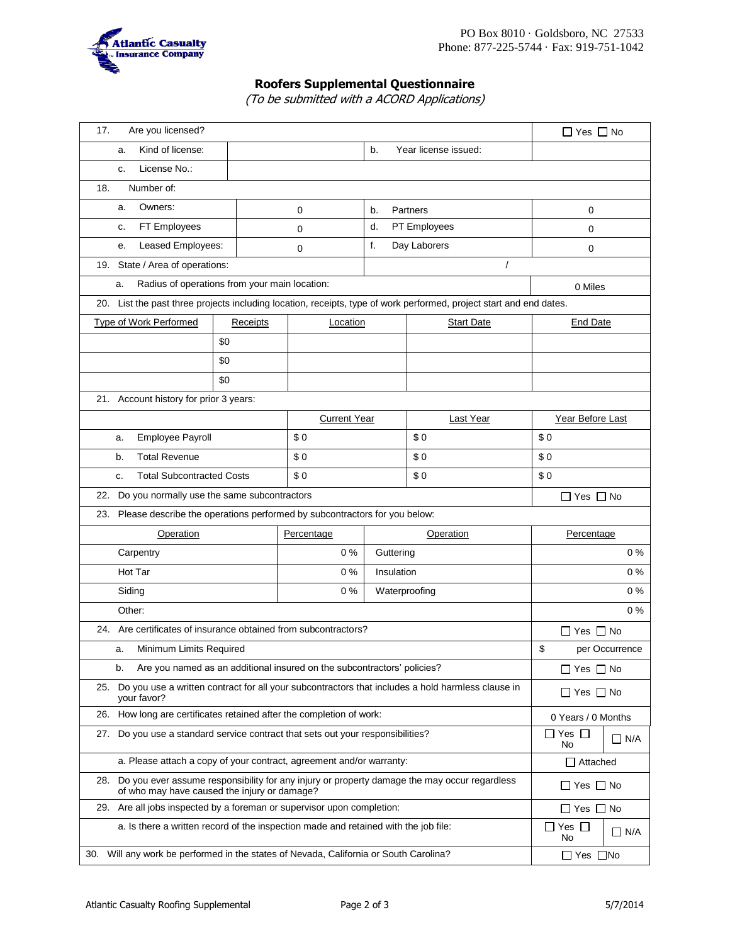

# **Roofers Supplemental Questionnaire**

(To be submitted with a ACORD Applications)

| Are you licensed?<br>17.                                                                                                                         | $\Box$ Yes $\Box$ No                     |                      |                    |                                                                                                                     |                      |  |  |  |
|--------------------------------------------------------------------------------------------------------------------------------------------------|------------------------------------------|----------------------|--------------------|---------------------------------------------------------------------------------------------------------------------|----------------------|--|--|--|
| Kind of license:<br>a.                                                                                                                           |                                          |                      |                    |                                                                                                                     |                      |  |  |  |
| License No.:<br>C.                                                                                                                               |                                          |                      |                    |                                                                                                                     |                      |  |  |  |
| Number of:<br>18.                                                                                                                                |                                          |                      |                    |                                                                                                                     |                      |  |  |  |
| Owners:<br>a.                                                                                                                                    |                                          | 0                    | b.                 | Partners                                                                                                            | 0                    |  |  |  |
| FT Employees<br>c.                                                                                                                               |                                          | 0                    | d.<br>PT Employees |                                                                                                                     | 0                    |  |  |  |
| Leased Employees:<br>e.                                                                                                                          |                                          | 0                    | f.<br>Day Laborers |                                                                                                                     | 0                    |  |  |  |
| 19. State / Area of operations:                                                                                                                  |                                          | $\prime$             |                    |                                                                                                                     |                      |  |  |  |
| Radius of operations from your main location:<br>a.                                                                                              | 0 Miles                                  |                      |                    |                                                                                                                     |                      |  |  |  |
|                                                                                                                                                  |                                          |                      |                    | 20. List the past three projects including location, receipts, type of work performed, project start and end dates. |                      |  |  |  |
| Type of Work Performed                                                                                                                           | Receipts                                 | Location             |                    | <b>Start Date</b>                                                                                                   | <b>End Date</b>      |  |  |  |
|                                                                                                                                                  | \$0                                      |                      |                    |                                                                                                                     |                      |  |  |  |
|                                                                                                                                                  | \$0                                      |                      |                    |                                                                                                                     |                      |  |  |  |
|                                                                                                                                                  | \$0                                      |                      |                    |                                                                                                                     |                      |  |  |  |
| 21. Account history for prior 3 years:                                                                                                           |                                          |                      |                    |                                                                                                                     |                      |  |  |  |
|                                                                                                                                                  |                                          | <b>Current Year</b>  |                    | Last Year                                                                                                           | Year Before Last     |  |  |  |
| Employee Payroll<br>a.                                                                                                                           |                                          | \$0                  |                    | \$0                                                                                                                 | \$0                  |  |  |  |
| <b>Total Revenue</b><br>b.                                                                                                                       |                                          | \$0                  |                    | \$0                                                                                                                 | \$0                  |  |  |  |
| <b>Total Subcontracted Costs</b><br>c.                                                                                                           |                                          | \$0                  |                    | \$0                                                                                                                 | \$0                  |  |  |  |
| 22. Do you normally use the same subcontractors                                                                                                  |                                          |                      |                    |                                                                                                                     | $\Box$ Yes $\Box$ No |  |  |  |
| 23. Please describe the operations performed by subcontractors for you below:                                                                    |                                          |                      |                    |                                                                                                                     |                      |  |  |  |
| Operation                                                                                                                                        | Percentage                               | Operation            |                    | Percentage                                                                                                          |                      |  |  |  |
| Carpentry                                                                                                                                        | $0\%$                                    | Guttering            |                    | $0\%$                                                                                                               |                      |  |  |  |
| Hot Tar                                                                                                                                          | 0%                                       | Insulation           |                    | 0%                                                                                                                  |                      |  |  |  |
| Siding                                                                                                                                           | 0%                                       | Waterproofing        | $0\%$              |                                                                                                                     |                      |  |  |  |
| Other:                                                                                                                                           | $0\%$                                    |                      |                    |                                                                                                                     |                      |  |  |  |
| 24. Are certificates of insurance obtained from subcontractors?                                                                                  |                                          | $\Box$ Yes $\Box$ No |                    |                                                                                                                     |                      |  |  |  |
| Minimum Limits Required<br>a.                                                                                                                    | \$<br>per Occurrence                     |                      |                    |                                                                                                                     |                      |  |  |  |
| Are you named as an additional insured on the subcontractors' policies?<br>b.                                                                    | $\Box$ Yes $\Box$ No                     |                      |                    |                                                                                                                     |                      |  |  |  |
| 25. Do you use a written contract for all your subcontractors that includes a hold harmless clause in<br>your favor?                             | $\Box$ Yes $\Box$ No                     |                      |                    |                                                                                                                     |                      |  |  |  |
| 26. How long are certificates retained after the completion of work:                                                                             | 0 Years / 0 Months                       |                      |                    |                                                                                                                     |                      |  |  |  |
| Do you use a standard service contract that sets out your responsibilities?<br>27.                                                               | Yes $\Box$<br>$\Box$<br>$\Box$ N/A<br>No |                      |                    |                                                                                                                     |                      |  |  |  |
| a. Please attach a copy of your contract, agreement and/or warranty:                                                                             | $\Box$ Attached                          |                      |                    |                                                                                                                     |                      |  |  |  |
| 28. Do you ever assume responsibility for any injury or property damage the may occur regardless<br>of who may have caused the injury or damage? | $\Box$ Yes $\Box$ No                     |                      |                    |                                                                                                                     |                      |  |  |  |
| 29. Are all jobs inspected by a foreman or supervisor upon completion:                                                                           | $\Box$ Yes $\Box$ No                     |                      |                    |                                                                                                                     |                      |  |  |  |
| a. Is there a written record of the inspection made and retained with the job file:                                                              | $\Box$ Yes $\Box$<br>∐ N/A<br>No         |                      |                    |                                                                                                                     |                      |  |  |  |
| 30. Will any work be performed in the states of Nevada, California or South Carolina?                                                            | $\Box$ Yes $\Box$ No                     |                      |                    |                                                                                                                     |                      |  |  |  |